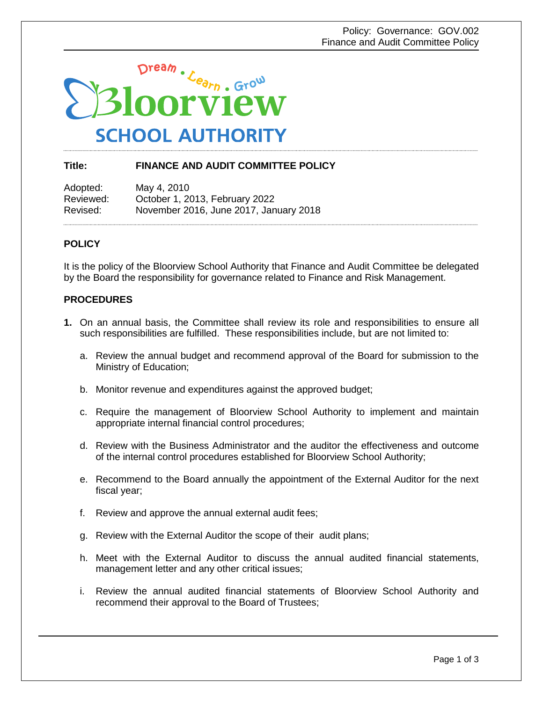

## **Title: FINANCE AND AUDIT COMMITTEE POLICY**

Adopted: May 4, 2010 Reviewed: October 1, 2013, February 2022 Revised: November 2016, June 2017, January 2018

## **POLICY**

It is the policy of the Bloorview School Authority that Finance and Audit Committee be delegated by the Board the responsibility for governance related to Finance and Risk Management.

## **PROCEDURES**

- **1.** On an annual basis, the Committee shall review its role and responsibilities to ensure all such responsibilities are fulfilled. These responsibilities include, but are not limited to:
	- a. Review the annual budget and recommend approval of the Board for submission to the Ministry of Education;
	- b. Monitor revenue and expenditures against the approved budget;
	- c. Require the management of Bloorview School Authority to implement and maintain appropriate internal financial control procedures;
	- d. Review with the Business Administrator and the auditor the effectiveness and outcome of the internal control procedures established for Bloorview School Authority;
	- e. Recommend to the Board annually the appointment of the External Auditor for the next fiscal year;
	- f. Review and approve the annual external audit fees;
	- g. Review with the External Auditor the scope of their audit plans;
	- h. Meet with the External Auditor to discuss the annual audited financial statements, management letter and any other critical issues;
	- i. Review the annual audited financial statements of Bloorview School Authority and recommend their approval to the Board of Trustees;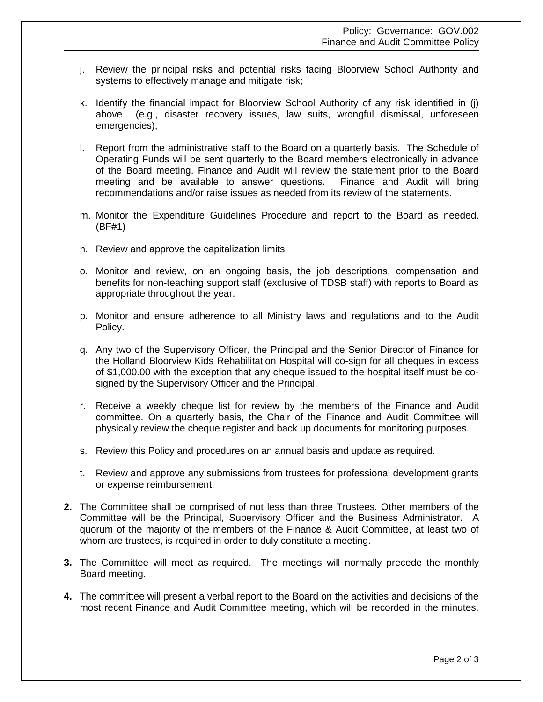- j. Review the principal risks and potential risks facing Bloorview School Authority and systems to effectively manage and mitigate risk;
- k. Identify the financial impact for Bloorview School Authority of any risk identified in (j) above (e.g., disaster recovery issues, law suits, wrongful dismissal, unforeseen emergencies);
- l. Report from the administrative staff to the Board on a quarterly basis. The Schedule of Operating Funds will be sent quarterly to the Board members electronically in advance of the Board meeting. Finance and Audit will review the statement prior to the Board meeting and be available to answer questions. Finance and Audit will bring recommendations and/or raise issues as needed from its review of the statements.
- m. Monitor the Expenditure Guidelines Procedure and report to the Board as needed. (BF#1)
- n. Review and approve the capitalization limits
- o. Monitor and review, on an ongoing basis, the job descriptions, compensation and benefits for non-teaching support staff (exclusive of TDSB staff) with reports to Board as appropriate throughout the year.
- p. Monitor and ensure adherence to all Ministry laws and regulations and to the Audit Policy.
- q. Any two of the Supervisory Officer, the Principal and the Senior Director of Finance for the Holland Bloorview Kids Rehabilitation Hospital will co-sign for all cheques in excess of \$1,000.00 with the exception that any cheque issued to the hospital itself must be cosigned by the Supervisory Officer and the Principal.
- r. Receive a weekly cheque list for review by the members of the Finance and Audit committee. On a quarterly basis, the Chair of the Finance and Audit Committee will physically review the cheque register and back up documents for monitoring purposes.
- s. Review this Policy and procedures on an annual basis and update as required.
- t. Review and approve any submissions from trustees for professional development grants or expense reimbursement.
- **2.** The Committee shall be comprised of not less than three Trustees. Other members of the Committee will be the Principal, Supervisory Officer and the Business Administrator. A quorum of the majority of the members of the Finance & Audit Committee, at least two of whom are trustees, is required in order to duly constitute a meeting.
- **3.** The Committee will meet as required. The meetings will normally precede the monthly Board meeting.
- **4.** The committee will present a verbal report to the Board on the activities and decisions of the most recent Finance and Audit Committee meeting, which will be recorded in the minutes.